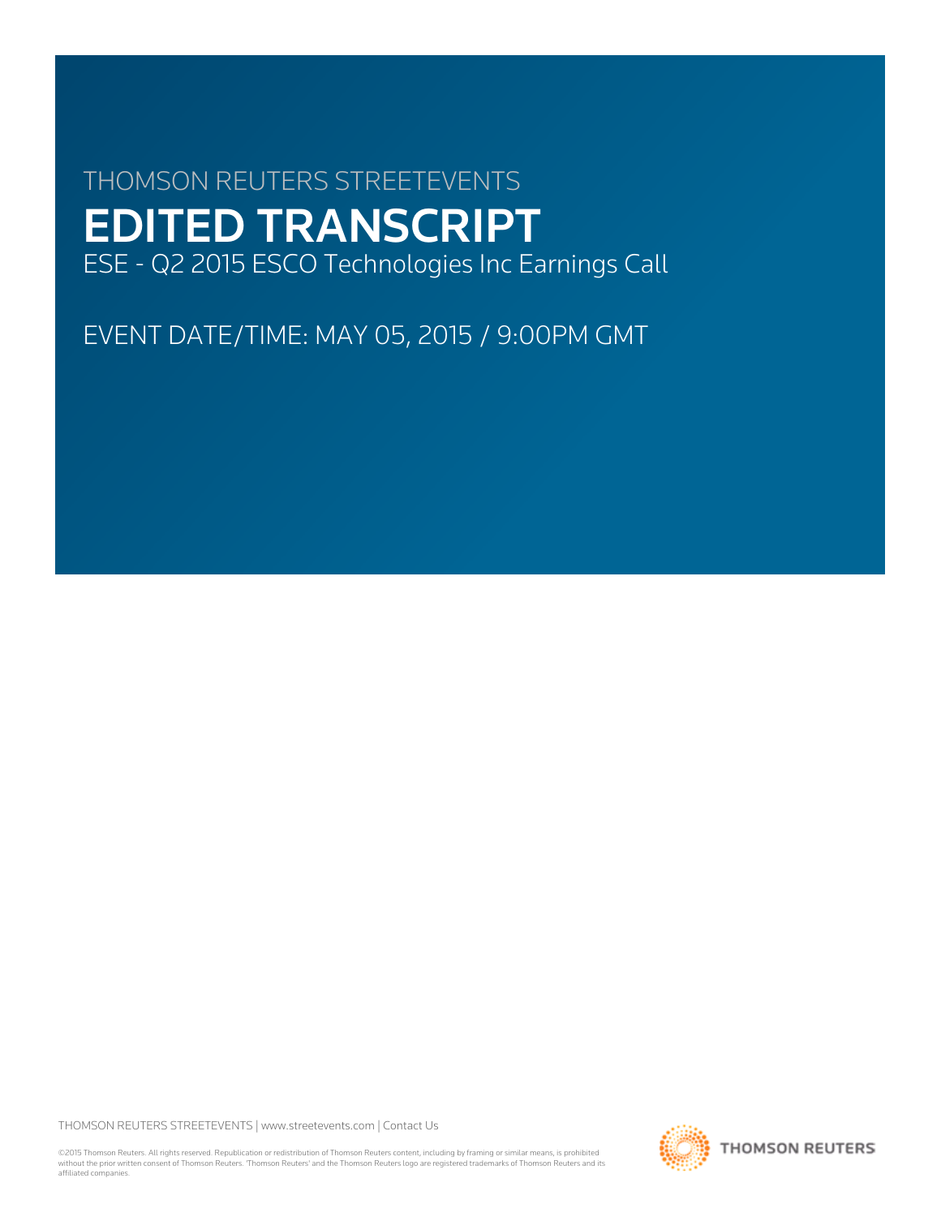# THOMSON REUTERS STREETEVENTS EDITED TRANSCRIPT ESE - Q2 2015 ESCO Technologies Inc Earnings Call

EVENT DATE/TIME: MAY 05, 2015 / 9:00PM GMT

THOMSON REUTERS STREETEVENTS | [www.streetevents.com](http://www.streetevents.com) | [Contact Us](http://www010.streetevents.com/contact.asp)

©2015 Thomson Reuters. All rights reserved. Republication or redistribution of Thomson Reuters content, including by framing or similar means, is prohibited without the prior written consent of Thomson Reuters. 'Thomson Reuters' and the Thomson Reuters logo are registered trademarks of Thomson Reuters and its affiliated companies.

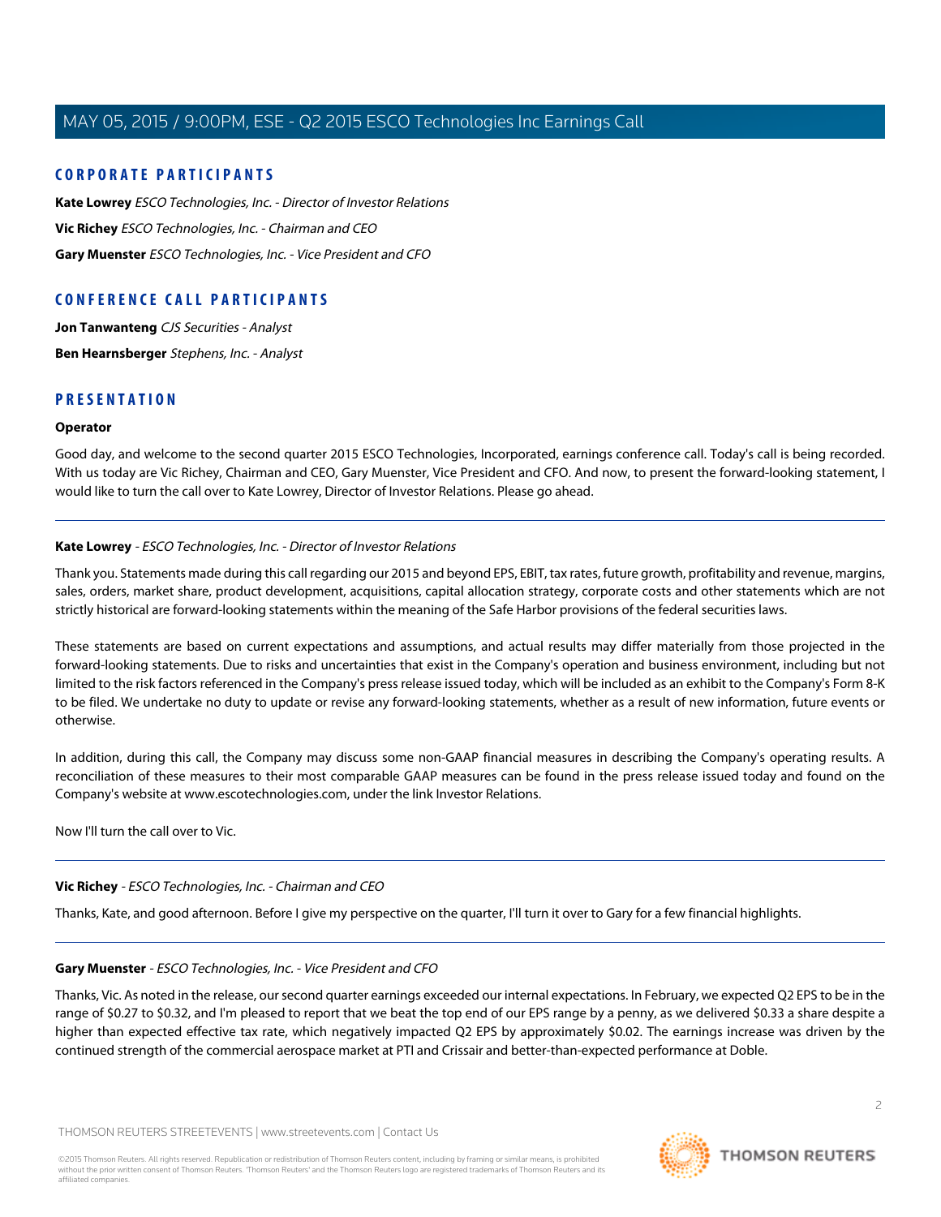# **CORPORATE PARTICIPANTS**

**[Kate Lowrey](#page-1-0)** ESCO Technologies, Inc. - Director of Investor Relations **[Vic Richey](#page-1-1)** ESCO Technologies, Inc. - Chairman and CEO **[Gary Muenster](#page-1-2)** ESCO Technologies, Inc. - Vice President and CFO

# **CONFERENCE CALL PARTICIPANTS**

**[Jon Tanwanteng](#page-3-0)** CJS Securities - Analyst **[Ben Hearnsberger](#page-5-0)** Stephens, Inc. - Analyst

# **PRESENTATION**

#### **Operator**

<span id="page-1-0"></span>Good day, and welcome to the second quarter 2015 ESCO Technologies, Incorporated, earnings conference call. Today's call is being recorded. With us today are Vic Richey, Chairman and CEO, Gary Muenster, Vice President and CFO. And now, to present the forward-looking statement, I would like to turn the call over to Kate Lowrey, Director of Investor Relations. Please go ahead.

#### **Kate Lowrey** - ESCO Technologies, Inc. - Director of Investor Relations

Thank you. Statements made during this call regarding our 2015 and beyond EPS, EBIT, tax rates, future growth, profitability and revenue, margins, sales, orders, market share, product development, acquisitions, capital allocation strategy, corporate costs and other statements which are not strictly historical are forward-looking statements within the meaning of the Safe Harbor provisions of the federal securities laws.

These statements are based on current expectations and assumptions, and actual results may differ materially from those projected in the forward-looking statements. Due to risks and uncertainties that exist in the Company's operation and business environment, including but not limited to the risk factors referenced in the Company's press release issued today, which will be included as an exhibit to the Company's Form 8-K to be filed. We undertake no duty to update or revise any forward-looking statements, whether as a result of new information, future events or otherwise.

In addition, during this call, the Company may discuss some non-GAAP financial measures in describing the Company's operating results. A reconciliation of these measures to their most comparable GAAP measures can be found in the press release issued today and found on the Company's website at www.escotechnologies.com, under the link Investor Relations.

<span id="page-1-1"></span>Now I'll turn the call over to Vic.

# <span id="page-1-2"></span>**Vic Richey** - ESCO Technologies, Inc. - Chairman and CEO

Thanks, Kate, and good afternoon. Before I give my perspective on the quarter, I'll turn it over to Gary for a few financial highlights.

# **Gary Muenster** - ESCO Technologies, Inc. - Vice President and CFO

Thanks, Vic. As noted in the release, our second quarter earnings exceeded our internal expectations. In February, we expected Q2 EPS to be in the range of \$0.27 to \$0.32, and I'm pleased to report that we beat the top end of our EPS range by a penny, as we delivered \$0.33 a share despite a higher than expected effective tax rate, which negatively impacted Q2 EPS by approximately \$0.02. The earnings increase was driven by the continued strength of the commercial aerospace market at PTI and Crissair and better-than-expected performance at Doble.

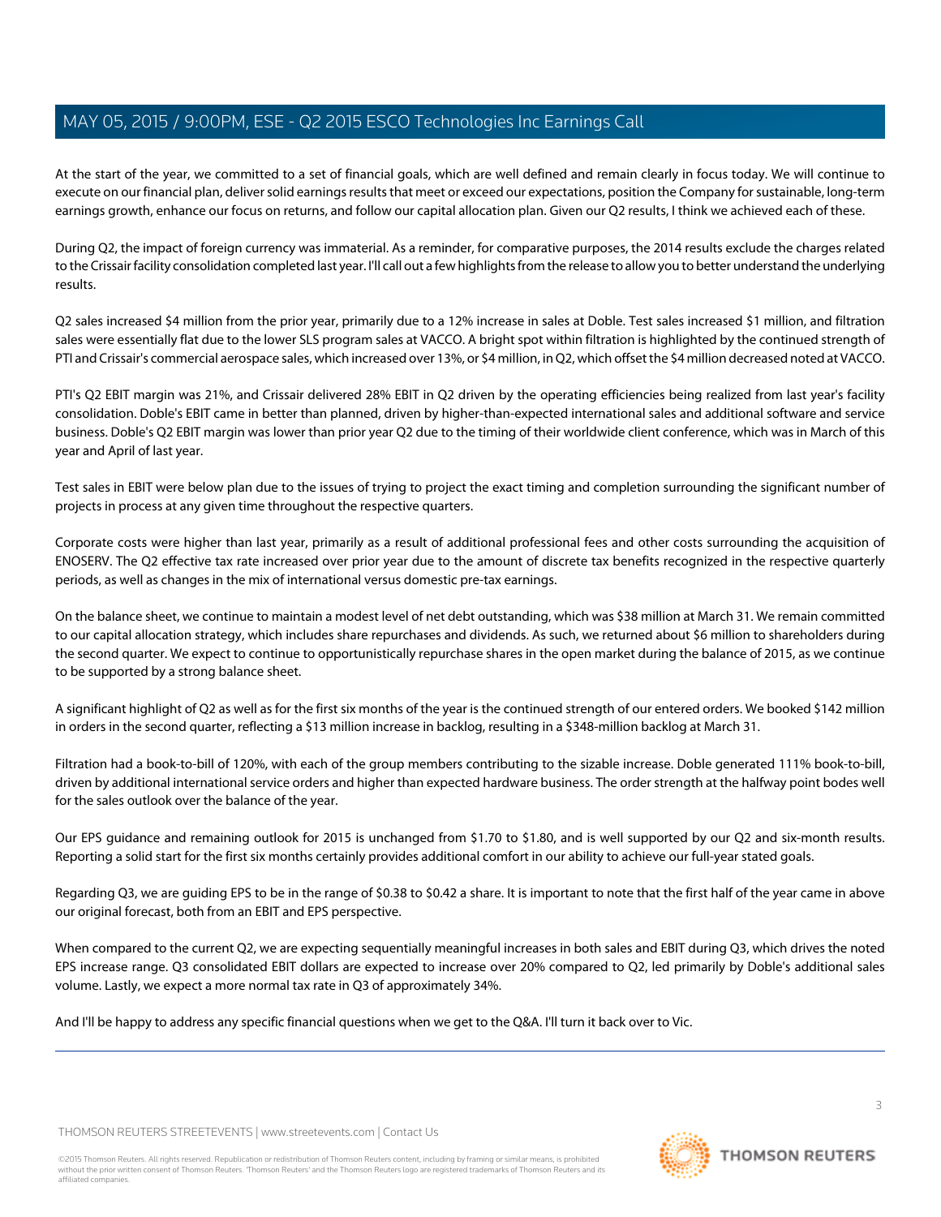At the start of the year, we committed to a set of financial goals, which are well defined and remain clearly in focus today. We will continue to execute on our financial plan, deliver solid earnings results that meet or exceed our expectations, position the Company for sustainable, long-term earnings growth, enhance our focus on returns, and follow our capital allocation plan. Given our Q2 results, I think we achieved each of these.

During Q2, the impact of foreign currency was immaterial. As a reminder, for comparative purposes, the 2014 results exclude the charges related to the Crissair facility consolidation completed last year. I'll call out a few highlights from the release to allow you to better understand the underlying results.

Q2 sales increased \$4 million from the prior year, primarily due to a 12% increase in sales at Doble. Test sales increased \$1 million, and filtration sales were essentially flat due to the lower SLS program sales at VACCO. A bright spot within filtration is highlighted by the continued strength of PTI and Crissair's commercial aerospace sales, which increased over 13%, or \$4 million, in Q2, which offset the \$4 million decreased noted at VACCO.

PTI's Q2 EBIT margin was 21%, and Crissair delivered 28% EBIT in Q2 driven by the operating efficiencies being realized from last year's facility consolidation. Doble's EBIT came in better than planned, driven by higher-than-expected international sales and additional software and service business. Doble's Q2 EBIT margin was lower than prior year Q2 due to the timing of their worldwide client conference, which was in March of this year and April of last year.

Test sales in EBIT were below plan due to the issues of trying to project the exact timing and completion surrounding the significant number of projects in process at any given time throughout the respective quarters.

Corporate costs were higher than last year, primarily as a result of additional professional fees and other costs surrounding the acquisition of ENOSERV. The Q2 effective tax rate increased over prior year due to the amount of discrete tax benefits recognized in the respective quarterly periods, as well as changes in the mix of international versus domestic pre-tax earnings.

On the balance sheet, we continue to maintain a modest level of net debt outstanding, which was \$38 million at March 31. We remain committed to our capital allocation strategy, which includes share repurchases and dividends. As such, we returned about \$6 million to shareholders during the second quarter. We expect to continue to opportunistically repurchase shares in the open market during the balance of 2015, as we continue to be supported by a strong balance sheet.

A significant highlight of Q2 as well as for the first six months of the year is the continued strength of our entered orders. We booked \$142 million in orders in the second quarter, reflecting a \$13 million increase in backlog, resulting in a \$348-million backlog at March 31.

Filtration had a book-to-bill of 120%, with each of the group members contributing to the sizable increase. Doble generated 111% book-to-bill, driven by additional international service orders and higher than expected hardware business. The order strength at the halfway point bodes well for the sales outlook over the balance of the year.

Our EPS guidance and remaining outlook for 2015 is unchanged from \$1.70 to \$1.80, and is well supported by our Q2 and six-month results. Reporting a solid start for the first six months certainly provides additional comfort in our ability to achieve our full-year stated goals.

Regarding Q3, we are guiding EPS to be in the range of \$0.38 to \$0.42 a share. It is important to note that the first half of the year came in above our original forecast, both from an EBIT and EPS perspective.

When compared to the current Q2, we are expecting sequentially meaningful increases in both sales and EBIT during Q3, which drives the noted EPS increase range. Q3 consolidated EBIT dollars are expected to increase over 20% compared to Q2, led primarily by Doble's additional sales volume. Lastly, we expect a more normal tax rate in Q3 of approximately 34%.

And I'll be happy to address any specific financial questions when we get to the Q&A. I'll turn it back over to Vic.



3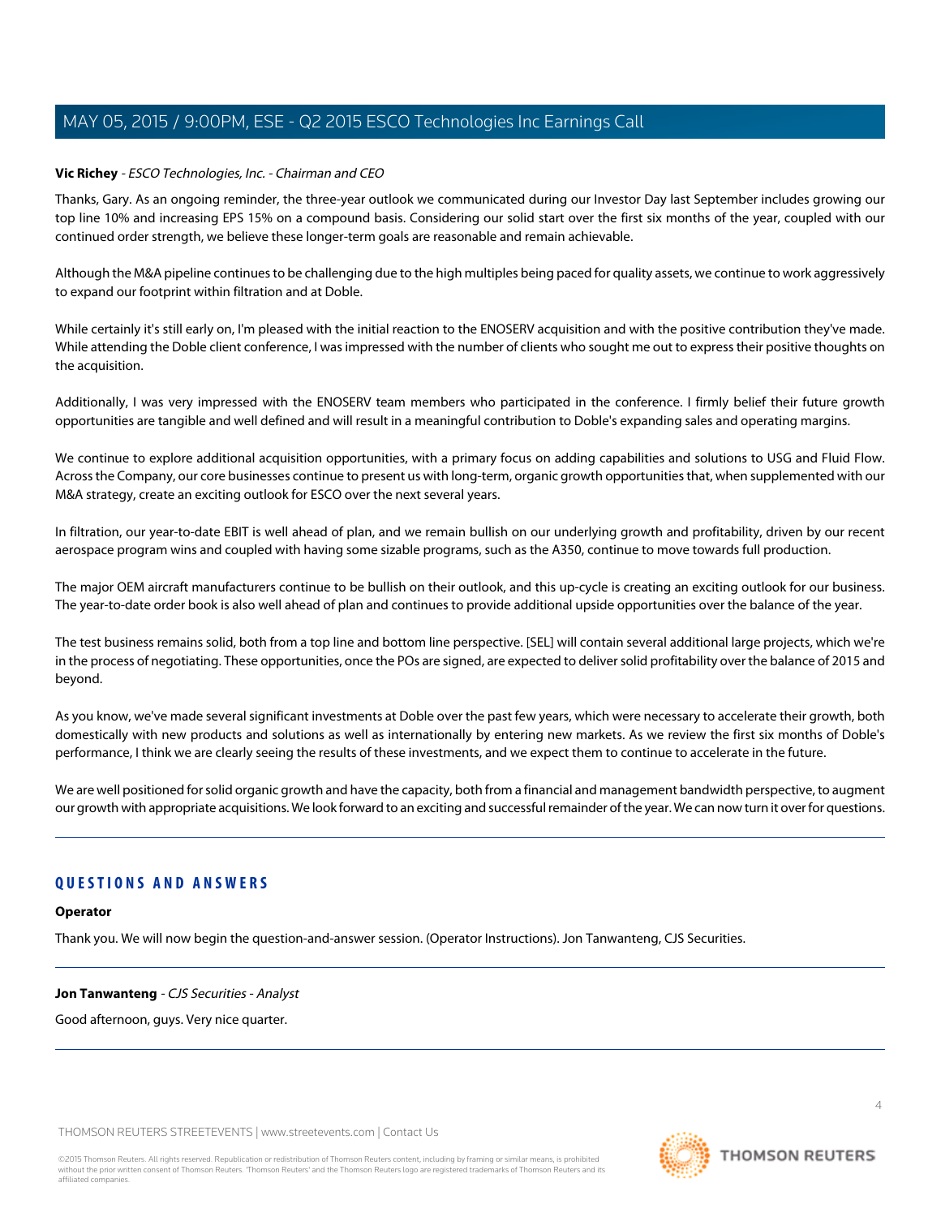### **Vic Richey** - ESCO Technologies, Inc. - Chairman and CEO

Thanks, Gary. As an ongoing reminder, the three-year outlook we communicated during our Investor Day last September includes growing our top line 10% and increasing EPS 15% on a compound basis. Considering our solid start over the first six months of the year, coupled with our continued order strength, we believe these longer-term goals are reasonable and remain achievable.

Although the M&A pipeline continues to be challenging due to the high multiples being paced for quality assets, we continue to work aggressively to expand our footprint within filtration and at Doble.

While certainly it's still early on, I'm pleased with the initial reaction to the ENOSERV acquisition and with the positive contribution they've made. While attending the Doble client conference, I was impressed with the number of clients who sought me out to express their positive thoughts on the acquisition.

Additionally, I was very impressed with the ENOSERV team members who participated in the conference. I firmly belief their future growth opportunities are tangible and well defined and will result in a meaningful contribution to Doble's expanding sales and operating margins.

We continue to explore additional acquisition opportunities, with a primary focus on adding capabilities and solutions to USG and Fluid Flow. Across the Company, our core businesses continue to present us with long-term, organic growth opportunities that, when supplemented with our M&A strategy, create an exciting outlook for ESCO over the next several years.

In filtration, our year-to-date EBIT is well ahead of plan, and we remain bullish on our underlying growth and profitability, driven by our recent aerospace program wins and coupled with having some sizable programs, such as the A350, continue to move towards full production.

The major OEM aircraft manufacturers continue to be bullish on their outlook, and this up-cycle is creating an exciting outlook for our business. The year-to-date order book is also well ahead of plan and continues to provide additional upside opportunities over the balance of the year.

The test business remains solid, both from a top line and bottom line perspective. [SEL] will contain several additional large projects, which we're in the process of negotiating. These opportunities, once the POs are signed, are expected to deliver solid profitability over the balance of 2015 and beyond.

As you know, we've made several significant investments at Doble over the past few years, which were necessary to accelerate their growth, both domestically with new products and solutions as well as internationally by entering new markets. As we review the first six months of Doble's performance, I think we are clearly seeing the results of these investments, and we expect them to continue to accelerate in the future.

We are well positioned for solid organic growth and have the capacity, both from a financial and management bandwidth perspective, to augment our growth with appropriate acquisitions. We look forward to an exciting and successful remainder of the year. We can now turn it over for questions.

# <span id="page-3-0"></span>**QUESTIONS AND ANSWERS**

# **Operator**

Thank you. We will now begin the question-and-answer session. (Operator Instructions). Jon Tanwanteng, CJS Securities.

# **Jon Tanwanteng** - CJS Securities - Analyst

Good afternoon, guys. Very nice quarter.

THOMSON REUTERS STREETEVENTS | [www.streetevents.com](http://www.streetevents.com) | [Contact Us](http://www010.streetevents.com/contact.asp)

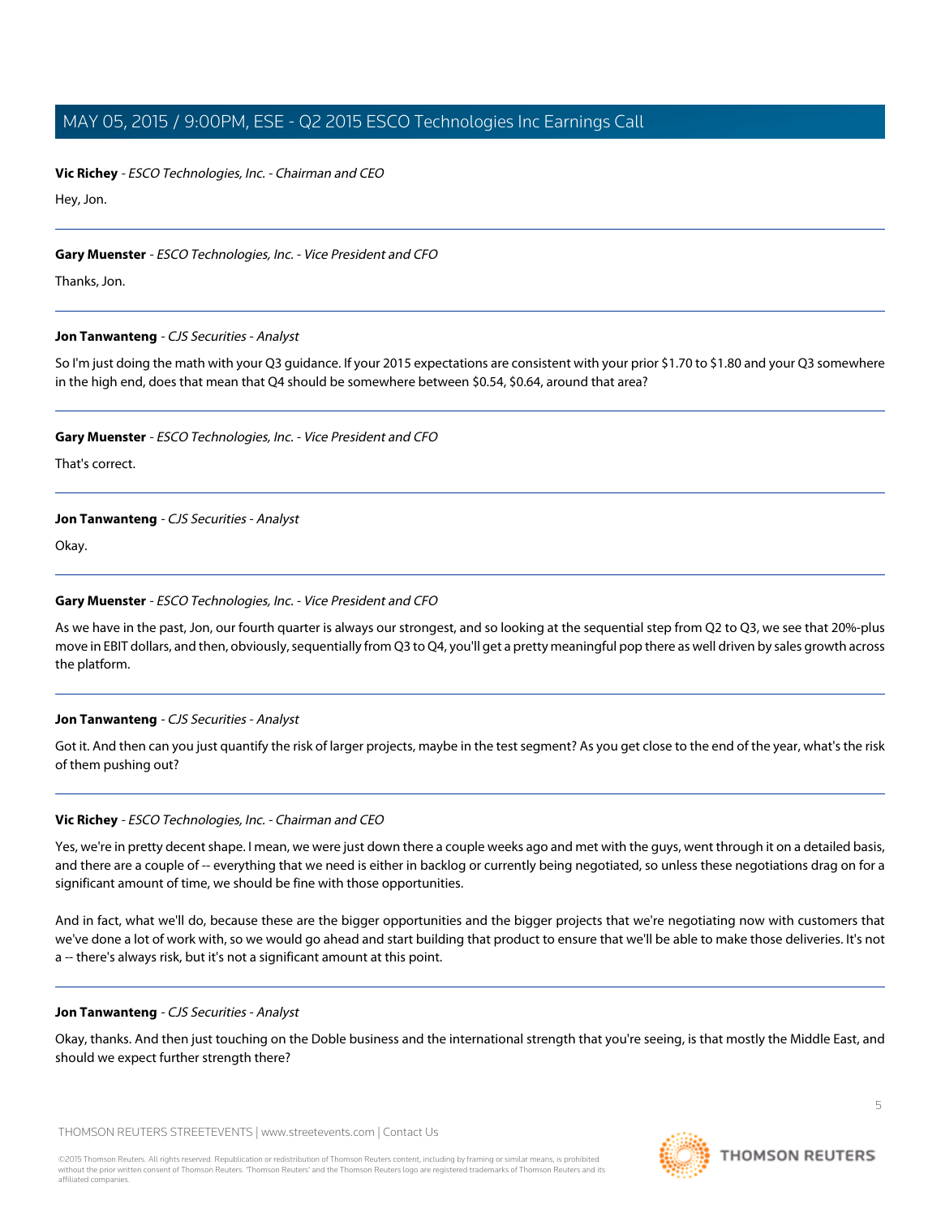**Vic Richey** - ESCO Technologies, Inc. - Chairman and CEO

Hey, Jon.

# **Gary Muenster** - ESCO Technologies, Inc. - Vice President and CFO

Thanks, Jon.

#### **Jon Tanwanteng** - CJS Securities - Analyst

So I'm just doing the math with your Q3 guidance. If your 2015 expectations are consistent with your prior \$1.70 to \$1.80 and your Q3 somewhere in the high end, does that mean that Q4 should be somewhere between \$0.54, \$0.64, around that area?

#### **Gary Muenster** - ESCO Technologies, Inc. - Vice President and CFO

That's correct.

#### **Jon Tanwanteng** - CJS Securities - Analyst

Okay.

# **Gary Muenster** - ESCO Technologies, Inc. - Vice President and CFO

As we have in the past, Jon, our fourth quarter is always our strongest, and so looking at the sequential step from Q2 to Q3, we see that 20%-plus move in EBIT dollars, and then, obviously, sequentially from Q3 to Q4, you'll get a pretty meaningful pop there as well driven by sales growth across the platform.

# **Jon Tanwanteng** - CJS Securities - Analyst

Got it. And then can you just quantify the risk of larger projects, maybe in the test segment? As you get close to the end of the year, what's the risk of them pushing out?

# **Vic Richey** - ESCO Technologies, Inc. - Chairman and CEO

Yes, we're in pretty decent shape. I mean, we were just down there a couple weeks ago and met with the guys, went through it on a detailed basis, and there are a couple of -- everything that we need is either in backlog or currently being negotiated, so unless these negotiations drag on for a significant amount of time, we should be fine with those opportunities.

And in fact, what we'll do, because these are the bigger opportunities and the bigger projects that we're negotiating now with customers that we've done a lot of work with, so we would go ahead and start building that product to ensure that we'll be able to make those deliveries. It's not a -- there's always risk, but it's not a significant amount at this point.

#### **Jon Tanwanteng** - CJS Securities - Analyst

Okay, thanks. And then just touching on the Doble business and the international strength that you're seeing, is that mostly the Middle East, and should we expect further strength there?

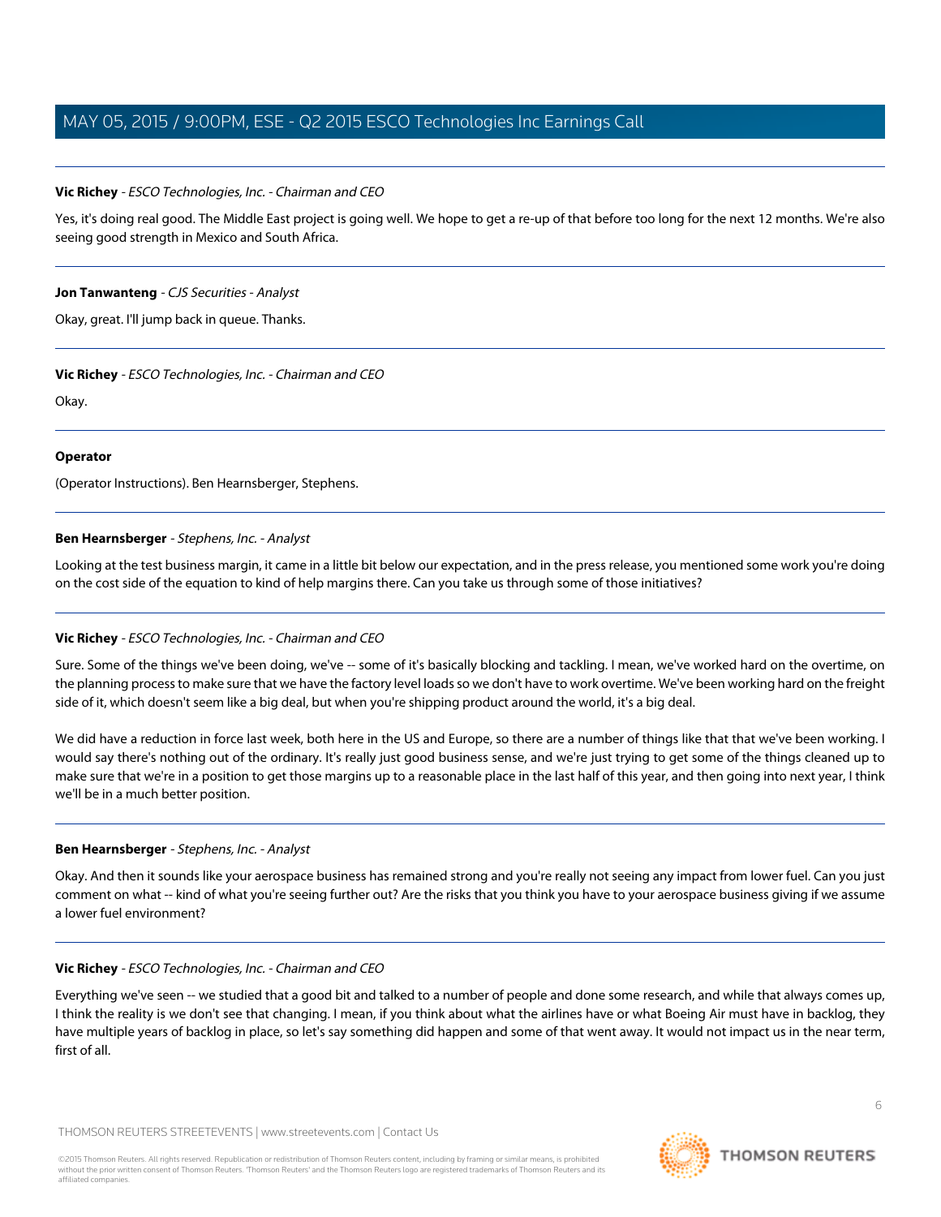#### **Vic Richey** - ESCO Technologies, Inc. - Chairman and CEO

Yes, it's doing real good. The Middle East project is going well. We hope to get a re-up of that before too long for the next 12 months. We're also seeing good strength in Mexico and South Africa.

#### **Jon Tanwanteng** - CJS Securities - Analyst

Okay, great. I'll jump back in queue. Thanks.

#### **Vic Richey** - ESCO Technologies, Inc. - Chairman and CEO

Okay.

#### **Operator**

<span id="page-5-0"></span>(Operator Instructions). Ben Hearnsberger, Stephens.

#### **Ben Hearnsberger** - Stephens, Inc. - Analyst

Looking at the test business margin, it came in a little bit below our expectation, and in the press release, you mentioned some work you're doing on the cost side of the equation to kind of help margins there. Can you take us through some of those initiatives?

# **Vic Richey** - ESCO Technologies, Inc. - Chairman and CEO

Sure. Some of the things we've been doing, we've -- some of it's basically blocking and tackling. I mean, we've worked hard on the overtime, on the planning process to make sure that we have the factory level loads so we don't have to work overtime. We've been working hard on the freight side of it, which doesn't seem like a big deal, but when you're shipping product around the world, it's a big deal.

We did have a reduction in force last week, both here in the US and Europe, so there are a number of things like that that we've been working. I would say there's nothing out of the ordinary. It's really just good business sense, and we're just trying to get some of the things cleaned up to make sure that we're in a position to get those margins up to a reasonable place in the last half of this year, and then going into next year, I think we'll be in a much better position.

#### **Ben Hearnsberger** - Stephens, Inc. - Analyst

Okay. And then it sounds like your aerospace business has remained strong and you're really not seeing any impact from lower fuel. Can you just comment on what -- kind of what you're seeing further out? Are the risks that you think you have to your aerospace business giving if we assume a lower fuel environment?

#### **Vic Richey** - ESCO Technologies, Inc. - Chairman and CEO

Everything we've seen -- we studied that a good bit and talked to a number of people and done some research, and while that always comes up, I think the reality is we don't see that changing. I mean, if you think about what the airlines have or what Boeing Air must have in backlog, they have multiple years of backlog in place, so let's say something did happen and some of that went away. It would not impact us in the near term, first of all.

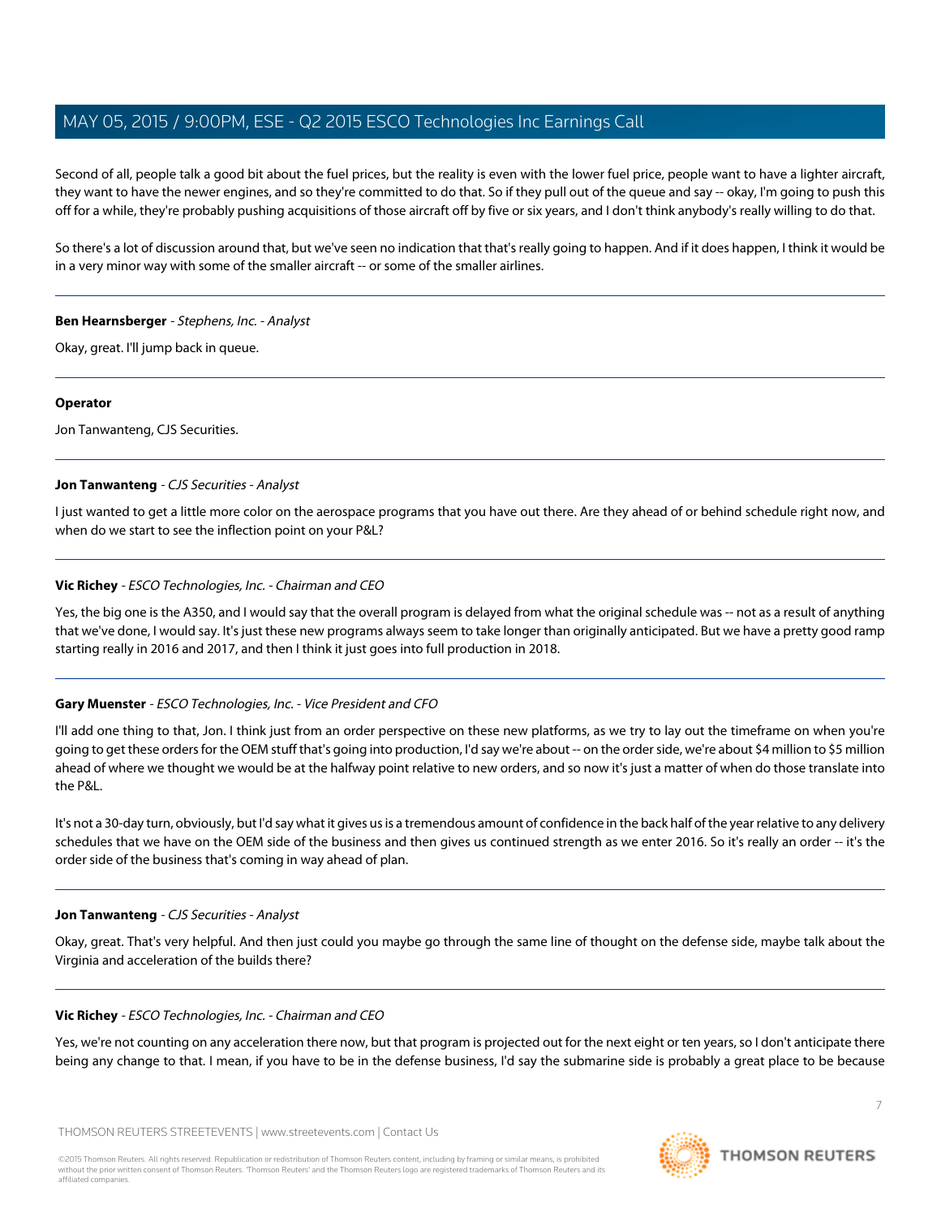Second of all, people talk a good bit about the fuel prices, but the reality is even with the lower fuel price, people want to have a lighter aircraft, they want to have the newer engines, and so they're committed to do that. So if they pull out of the queue and say -- okay, I'm going to push this off for a while, they're probably pushing acquisitions of those aircraft off by five or six years, and I don't think anybody's really willing to do that.

So there's a lot of discussion around that, but we've seen no indication that that's really going to happen. And if it does happen, I think it would be in a very minor way with some of the smaller aircraft -- or some of the smaller airlines.

#### **Ben Hearnsberger** - Stephens, Inc. - Analyst

Okay, great. I'll jump back in queue.

#### **Operator**

Jon Tanwanteng, CJS Securities.

#### **Jon Tanwanteng** - CJS Securities - Analyst

I just wanted to get a little more color on the aerospace programs that you have out there. Are they ahead of or behind schedule right now, and when do we start to see the inflection point on your P&L?

#### **Vic Richey** - ESCO Technologies, Inc. - Chairman and CEO

Yes, the big one is the A350, and I would say that the overall program is delayed from what the original schedule was -- not as a result of anything that we've done, I would say. It's just these new programs always seem to take longer than originally anticipated. But we have a pretty good ramp starting really in 2016 and 2017, and then I think it just goes into full production in 2018.

# **Gary Muenster** - ESCO Technologies, Inc. - Vice President and CFO

I'll add one thing to that, Jon. I think just from an order perspective on these new platforms, as we try to lay out the timeframe on when you're going to get these orders for the OEM stuff that's going into production, I'd say we're about -- on the order side, we're about \$4 million to \$5 million ahead of where we thought we would be at the halfway point relative to new orders, and so now it's just a matter of when do those translate into the P&L.

It's not a 30-day turn, obviously, but I'd say what it gives us is a tremendous amount of confidence in the back half of the year relative to any delivery schedules that we have on the OEM side of the business and then gives us continued strength as we enter 2016. So it's really an order -- it's the order side of the business that's coming in way ahead of plan.

#### **Jon Tanwanteng** - CJS Securities - Analyst

Okay, great. That's very helpful. And then just could you maybe go through the same line of thought on the defense side, maybe talk about the Virginia and acceleration of the builds there?

#### **Vic Richey** - ESCO Technologies, Inc. - Chairman and CEO

Yes, we're not counting on any acceleration there now, but that program is projected out for the next eight or ten years, so I don't anticipate there being any change to that. I mean, if you have to be in the defense business, I'd say the submarine side is probably a great place to be because

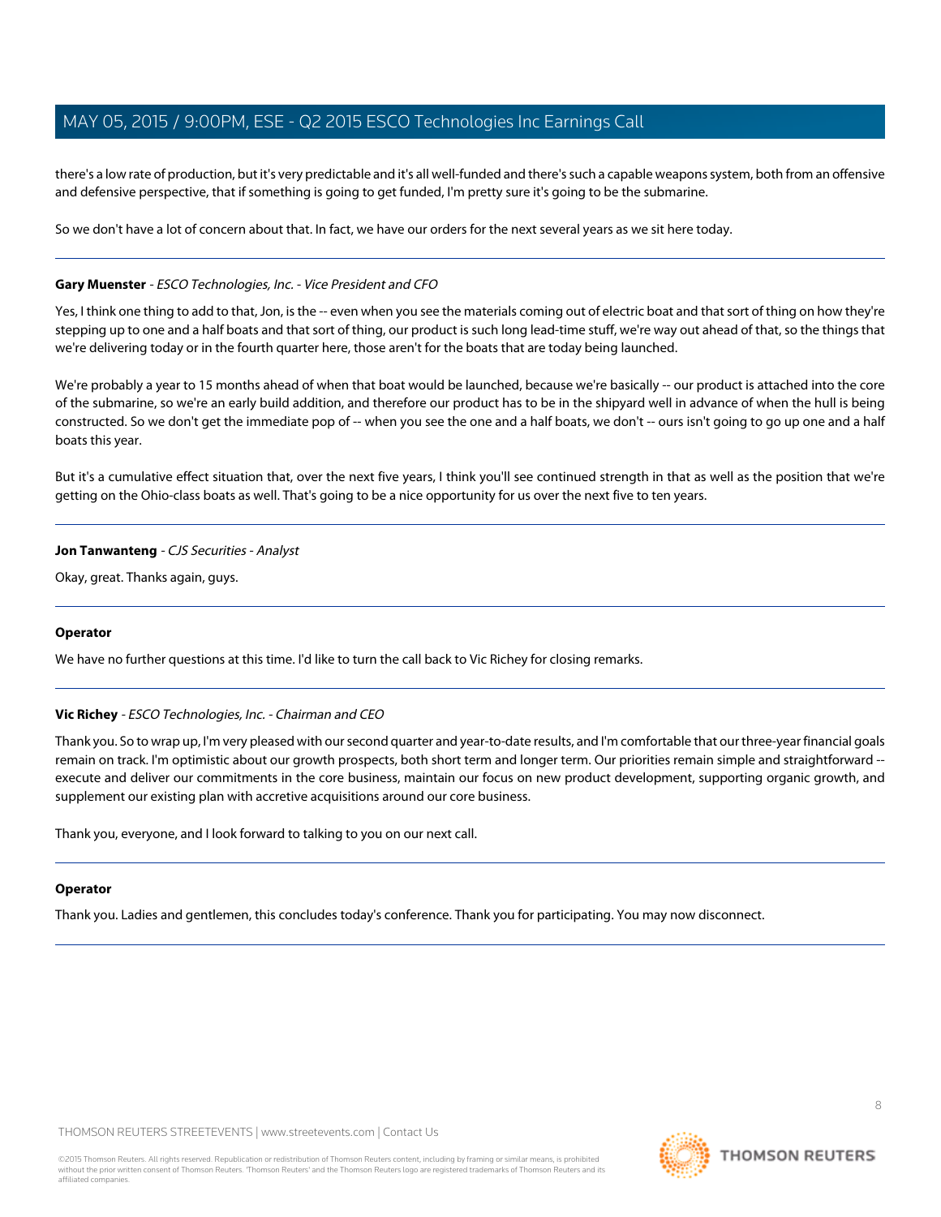there's a low rate of production, but it's very predictable and it's all well-funded and there's such a capable weapons system, both from an offensive and defensive perspective, that if something is going to get funded, I'm pretty sure it's going to be the submarine.

So we don't have a lot of concern about that. In fact, we have our orders for the next several years as we sit here today.

#### **Gary Muenster** - ESCO Technologies, Inc. - Vice President and CFO

Yes, I think one thing to add to that, Jon, is the -- even when you see the materials coming out of electric boat and that sort of thing on how they're stepping up to one and a half boats and that sort of thing, our product is such long lead-time stuff, we're way out ahead of that, so the things that we're delivering today or in the fourth quarter here, those aren't for the boats that are today being launched.

We're probably a year to 15 months ahead of when that boat would be launched, because we're basically -- our product is attached into the core of the submarine, so we're an early build addition, and therefore our product has to be in the shipyard well in advance of when the hull is being constructed. So we don't get the immediate pop of -- when you see the one and a half boats, we don't -- ours isn't going to go up one and a half boats this year.

But it's a cumulative effect situation that, over the next five years, I think you'll see continued strength in that as well as the position that we're getting on the Ohio-class boats as well. That's going to be a nice opportunity for us over the next five to ten years.

#### **Jon Tanwanteng** - CJS Securities - Analyst

Okay, great. Thanks again, guys.

#### **Operator**

We have no further questions at this time. I'd like to turn the call back to Vic Richey for closing remarks.

#### **Vic Richey** - ESCO Technologies, Inc. - Chairman and CEO

Thank you. So to wrap up, I'm very pleased with our second quarter and year-to-date results, and I'm comfortable that our three-year financial goals remain on track. I'm optimistic about our growth prospects, both short term and longer term. Our priorities remain simple and straightforward -execute and deliver our commitments in the core business, maintain our focus on new product development, supporting organic growth, and supplement our existing plan with accretive acquisitions around our core business.

Thank you, everyone, and I look forward to talking to you on our next call.

#### **Operator**

Thank you. Ladies and gentlemen, this concludes today's conference. Thank you for participating. You may now disconnect.



8